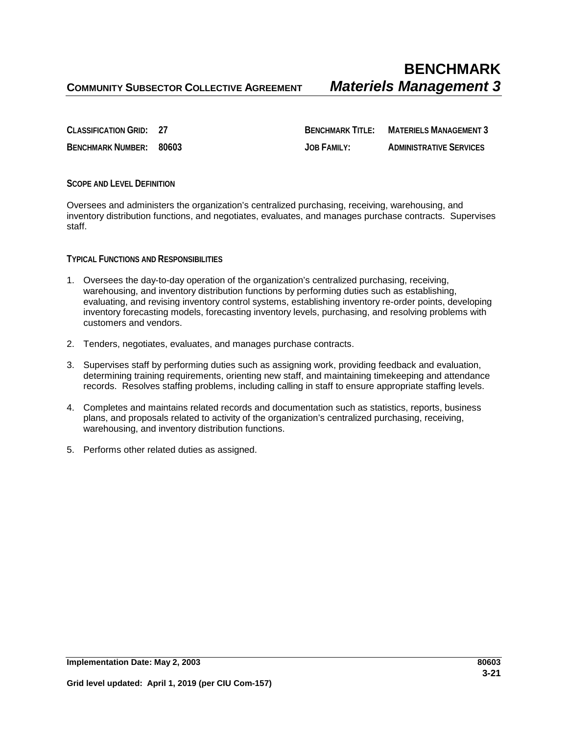**CLASSIFICATION GRID: 27 BENCHMARK TITLE: MATERIELS MANAGEMENT 3 BENCHMARK NUMBER: 80603 JOB FAMILY: ADMINISTRATIVE SERVICES**

## **SCOPE AND LEVEL DEFINITION**

Oversees and administers the organization's centralized purchasing, receiving, warehousing, and inventory distribution functions, and negotiates, evaluates, and manages purchase contracts. Supervises staff.

**TYPICAL FUNCTIONS AND RESPONSIBILITIES**

- 1. Oversees the day-to-day operation of the organization's centralized purchasing, receiving, warehousing, and inventory distribution functions by performing duties such as establishing, evaluating, and revising inventory control systems, establishing inventory re-order points, developing inventory forecasting models, forecasting inventory levels, purchasing, and resolving problems with customers and vendors.
- 2. Tenders, negotiates, evaluates, and manages purchase contracts.
- 3. Supervises staff by performing duties such as assigning work, providing feedback and evaluation, determining training requirements, orienting new staff, and maintaining timekeeping and attendance records. Resolves staffing problems, including calling in staff to ensure appropriate staffing levels.
- 4. Completes and maintains related records and documentation such as statistics, reports, business plans, and proposals related to activity of the organization's centralized purchasing, receiving, warehousing, and inventory distribution functions.
- 5. Performs other related duties as assigned.